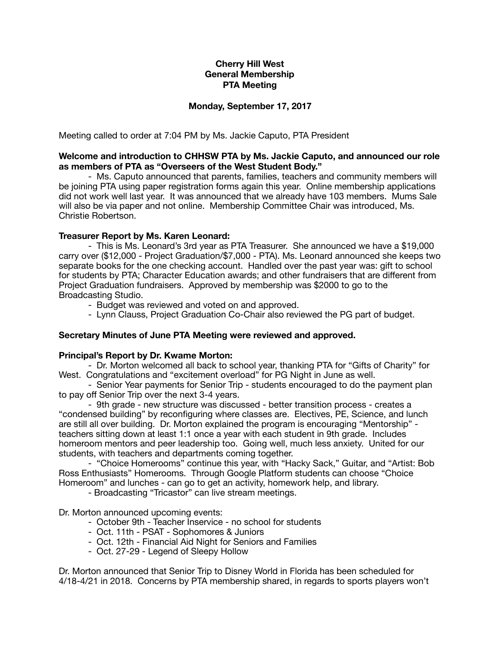# **Cherry Hill West General Membership PTA Meeting**

## **Monday, September 17, 2017**

Meeting called to order at 7:04 PM by Ms. Jackie Caputo, PTA President

## **Welcome and introduction to CHHSW PTA by Ms. Jackie Caputo, and announced our role as members of PTA as "Overseers of the West Student Body."**

- Ms. Caputo announced that parents, families, teachers and community members will be joining PTA using paper registration forms again this year. Online membership applications did not work well last year. It was announced that we already have 103 members. Mums Sale will also be via paper and not online. Membership Committee Chair was introduced, Ms. Christie Robertson.

# **Treasurer Report by Ms. Karen Leonard:**

- This is Ms. Leonard's 3rd year as PTA Treasurer. She announced we have a \$19,000 carry over (\$12,000 - Project Graduation/\$7,000 - PTA). Ms. Leonard announced she keeps two separate books for the one checking account. Handled over the past year was: gift to school for students by PTA; Character Education awards; and other fundraisers that are different from Project Graduation fundraisers. Approved by membership was \$2000 to go to the Broadcasting Studio.

- Budget was reviewed and voted on and approved.

- Lynn Clauss, Project Graduation Co-Chair also reviewed the PG part of budget.

### **Secretary Minutes of June PTA Meeting were reviewed and approved.**

### **Principal's Report by Dr. Kwame Morton:**

- Dr. Morton welcomed all back to school year, thanking PTA for "Gifts of Charity" for West. Congratulations and "excitement overload" for PG Night in June as well.

- Senior Year payments for Senior Trip - students encouraged to do the payment plan to pay off Senior Trip over the next 3-4 years.

- 9th grade - new structure was discussed - better transition process - creates a "condensed building" by reconfiguring where classes are. Electives, PE, Science, and lunch are still all over building. Dr. Morton explained the program is encouraging "Mentorship" teachers sitting down at least 1:1 once a year with each student in 9th grade. Includes homeroom mentors and peer leadership too. Going well, much less anxiety. United for our students, with teachers and departments coming together.

- "Choice Homerooms" continue this year, with "Hacky Sack," Guitar, and "Artist: Bob Ross Enthusiasts" Homerooms. Through Google Platform students can choose "Choice Homeroom" and lunches - can go to get an activity, homework help, and library.

- Broadcasting "Tricastor" can live stream meetings.

Dr. Morton announced upcoming events:

- October 9th Teacher Inservice no school for students
- Oct. 11th PSAT Sophomores & Juniors
- Oct. 12th Financial Aid Night for Seniors and Families
- Oct. 27-29 Legend of Sleepy Hollow

Dr. Morton announced that Senior Trip to Disney World in Florida has been scheduled for 4/18-4/21 in 2018. Concerns by PTA membership shared, in regards to sports players won't